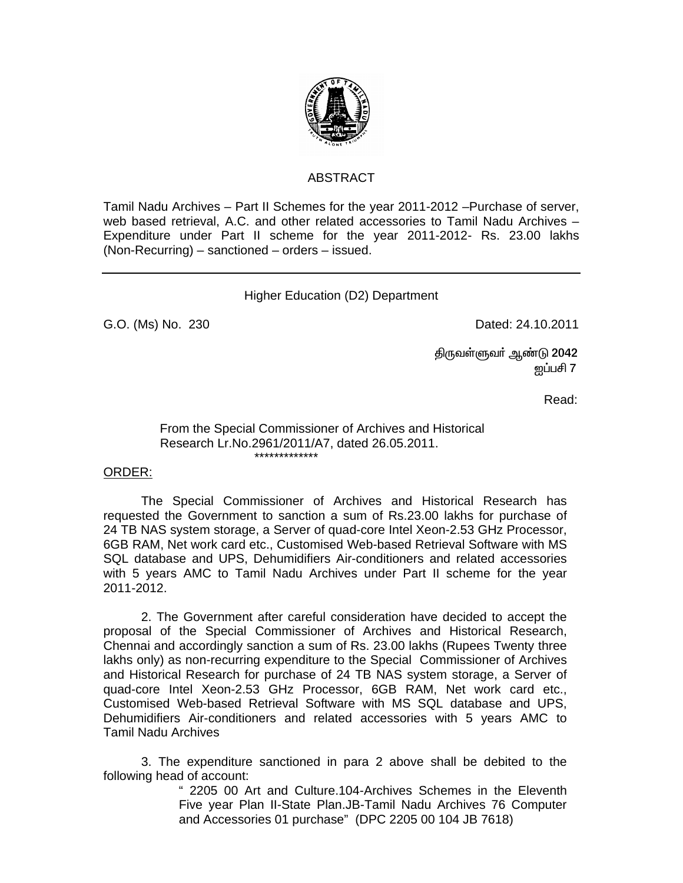

# ABSTRACT

Tamil Nadu Archives – Part II Schemes for the year 2011-2012 –Purchase of server, web based retrieval, A.C. and other related accessories to Tamil Nadu Archives – Expenditure under Part II scheme for the year 2011-2012- Rs. 23.00 lakhs (Non-Recurring) – sanctioned – orders – issued.

# Higher Education (D2) Department

G.O. (Ms) No. 230 **Dated: 24.10.2011** 

திருவள்ளுவா் ஆண்டு 2042  $\rm g$ ப்பசி 7  $\rm g$ 

**Read:** The contract of the contract of the contract of the contract of the contract of the contract of the contract of the contract of the contract of the contract of the contract of the contract of the contract of the co

#### From the Special Commissioner of Archives and Historical Research Lr.No.2961/2011/A7, dated 26.05.2011. \*\*\*\*\*\*\*\*\*\*\*\*\*

### ORDER:

 The Special Commissioner of Archives and Historical Research has requested the Government to sanction a sum of Rs.23.00 lakhs for purchase of 24 TB NAS system storage, a Server of quad-core Intel Xeon-2.53 GHz Processor, 6GB RAM, Net work card etc., Customised Web-based Retrieval Software with MS SQL database and UPS, Dehumidifiers Air-conditioners and related accessories with 5 years AMC to Tamil Nadu Archives under Part II scheme for the year 2011-2012.

 2. The Government after careful consideration have decided to accept the proposal of the Special Commissioner of Archives and Historical Research, Chennai and accordingly sanction a sum of Rs. 23.00 lakhs (Rupees Twenty three lakhs only) as non-recurring expenditure to the Special Commissioner of Archives and Historical Research for purchase of 24 TB NAS system storage, a Server of quad-core Intel Xeon-2.53 GHz Processor, 6GB RAM, Net work card etc., Customised Web-based Retrieval Software with MS SQL database and UPS, Dehumidifiers Air-conditioners and related accessories with 5 years AMC to Tamil Nadu Archives

 3. The expenditure sanctioned in para 2 above shall be debited to the following head of account:

> " 2205 00 Art and Culture.104-Archives Schemes in the Eleventh Five year Plan II-State Plan.JB-Tamil Nadu Archives 76 Computer and Accessories 01 purchase" (DPC 2205 00 104 JB 7618)